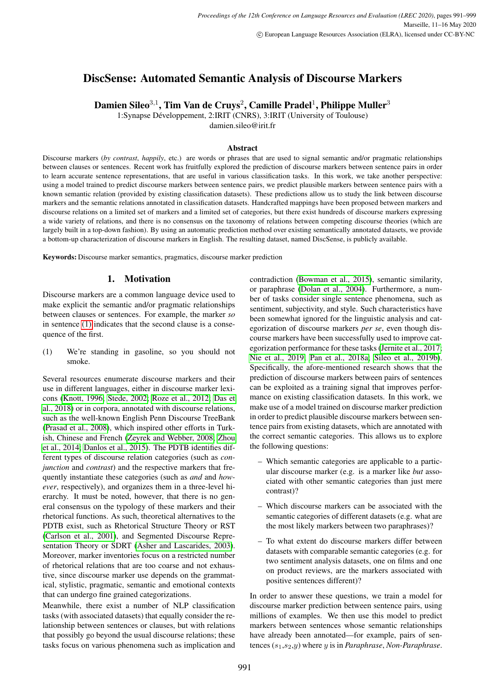# DiscSense: Automated Semantic Analysis of Discourse Markers

Damien Sileo $^{3,1}$ , Tim Van de Cruys $^2$ , Camille Pradel $^1$ , Philippe Muller $^3$ 

1:Synapse Développement, 2:IRIT (CNRS), 3:IRIT (University of Toulouse)

damien.sileo@irit.fr

## Abstract

Discourse markers (*by contrast*, *happily*, etc.) are words or phrases that are used to signal semantic and/or pragmatic relationships between clauses or sentences. Recent work has fruitfully explored the prediction of discourse markers between sentence pairs in order to learn accurate sentence representations, that are useful in various classification tasks. In this work, we take another perspective: using a model trained to predict discourse markers between sentence pairs, we predict plausible markers between sentence pairs with a known semantic relation (provided by existing classification datasets). These predictions allow us to study the link between discourse markers and the semantic relations annotated in classification datasets. Handcrafted mappings have been proposed between markers and discourse relations on a limited set of markers and a limited set of categories, but there exist hundreds of discourse markers expressing a wide variety of relations, and there is no consensus on the taxonomy of relations between competing discourse theories (which are largely built in a top-down fashion). By using an automatic prediction method over existing semantically annotated datasets, we provide a bottom-up characterization of discourse markers in English. The resulting dataset, named DiscSense, is publicly available.

Keywords: Discourse marker semantics, pragmatics, discourse marker prediction

## 1. Motivation

Discourse markers are a common language device used to make explicit the semantic and/or pragmatic relationships between clauses or sentences. For example, the marker *so* in sentence [\(1\)](#page-0-0) indicates that the second clause is a consequence of the first.

<span id="page-0-0"></span>(1) We're standing in gasoline, so you should not smoke.

Several resources enumerate discourse markers and their use in different languages, either in discourse marker lexicons [\(Knott, 1996;](#page-4-0) [Stede, 2002;](#page-5-0) [Roze et al., 2012;](#page-5-1) [Das et](#page-4-1) [al., 2018\)](#page-4-1) or in corpora, annotated with discourse relations, such as the well-known English Penn Discourse TreeBank [\(Prasad et al., 2008\)](#page-5-2), which inspired other efforts in Turkish, Chinese and French [\(Zeyrek and Webber, 2008;](#page-5-3) [Zhou](#page-5-4) [et al., 2014;](#page-5-4) [Danlos et al., 2015\)](#page-4-2). The PDTB identifies different types of discourse relation categories (such as *conjunction* and *contrast*) and the respective markers that frequently instantiate these categories (such as *and* and *however*, respectively), and organizes them in a three-level hierarchy. It must be noted, however, that there is no general consensus on the typology of these markers and their rhetorical functions. As such, theoretical alternatives to the PDTB exist, such as Rhetorical Structure Theory or RST [\(Carlson et al., 2001\)](#page-4-3), and Segmented Discourse Representation Theory or SDRT [\(Asher and Lascarides, 2003\)](#page-4-4). Moreover, marker inventories focus on a restricted number of rhetorical relations that are too coarse and not exhaustive, since discourse marker use depends on the grammatical, stylistic, pragmatic, semantic and emotional contexts that can undergo fine grained categorizations.

Meanwhile, there exist a number of NLP classification tasks (with associated datasets) that equally consider the relationship between sentences or clauses, but with relations that possibly go beyond the usual discourse relations; these tasks focus on various phenomena such as implication and contradiction [\(Bowman et al., 2015\)](#page-4-5), semantic similarity, or paraphrase [\(Dolan et al., 2004\)](#page-4-6). Furthermore, a number of tasks consider single sentence phenomena, such as sentiment, subjectivity, and style. Such characteristics have been somewhat ignored for the linguistic analysis and categorization of discourse markers *per se*, even though discourse markers have been successfully used to improve categorization performance for these tasks [\(Jernite et al., 2017;](#page-4-7) [Nie et al., 2019;](#page-5-5) [Pan et al., 2018a;](#page-5-6) [Sileo et al., 2019b\)](#page-5-7). Specifically, the afore-mentioned research shows that the prediction of discourse markers between pairs of sentences can be exploited as a training signal that improves performance on existing classification datasets. In this work, we make use of a model trained on discourse marker prediction in order to predict plausible discourse markers between sentence pairs from existing datasets, which are annotated with the correct semantic categories. This allows us to explore the following questions:

- Which semantic categories are applicable to a particular discourse marker (e.g. is a marker like *but* associated with other semantic categories than just mere contrast)?
- Which discourse markers can be associated with the semantic categories of different datasets (e.g. what are the most likely markers between two paraphrases)?
- To what extent do discourse markers differ between datasets with comparable semantic categories (e.g. for two sentiment analysis datasets, one on films and one on product reviews, are the markers associated with positive sentences different)?

In order to answer these questions, we train a model for discourse marker prediction between sentence pairs, using millions of examples. We then use this model to predict markers between sentences whose semantic relationships have already been annotated—for example, pairs of sentences (s1,s2,y) where y is in *Paraphrase*, *Non-Paraphrase*.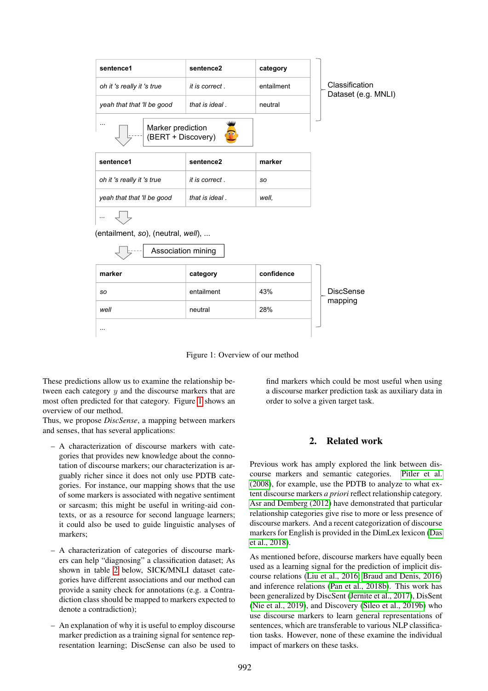

Figure 1: Overview of our method

These predictions allow us to examine the relationship between each category  $y$  and the discourse markers that are most often predicted for that category. Figure [1](#page-1-0) shows an overview of our method.

Thus, we propose *DiscSense*, a mapping between markers and senses, that has several applications:

- A characterization of discourse markers with categories that provides new knowledge about the connotation of discourse markers; our characterization is arguably richer since it does not only use PDTB categories. For instance, our mapping shows that the use of some markers is associated with negative sentiment or sarcasm; this might be useful in writing-aid contexts, or as a resource for second language learners; it could also be used to guide linguistic analyses of markers;
- A characterization of categories of discourse markers can help "diagnosing" a classification dataset; As shown in table [2](#page-2-0) below, SICK/MNLI dataset categories have different associations and our method can provide a sanity check for annotations (e.g. a Contradiction class should be mapped to markers expected to denote a contradiction);
- An explanation of why it is useful to employ discourse marker prediction as a training signal for sentence representation learning; DiscSense can also be used to

find markers which could be most useful when using a discourse marker prediction task as auxiliary data in order to solve a given target task.

## <span id="page-1-0"></span>2. Related work

Previous work has amply explored the link between discourse markers and semantic categories. [Pitler et al.](#page-5-8) [\(2008\)](#page-5-8), for example, use the PDTB to analyze to what extent discourse markers *a priori* reflect relationship category. [Asr and Demberg \(2012\)](#page-4-8) have demonstrated that particular relationship categories give rise to more or less presence of discourse markers. And a recent categorization of discourse markers for English is provided in the DimLex lexicon [\(Das](#page-4-1) [et al., 2018\)](#page-4-1).

As mentioned before, discourse markers have equally been used as a learning signal for the prediction of implicit discourse relations [\(Liu et al., 2016;](#page-5-9) [Braud and Denis, 2016\)](#page-4-9) and inference relations [\(Pan et al., 2018b\)](#page-5-10). This work has been generalized by DiscSent [\(Jernite et al., 2017\)](#page-4-7), DisSent [\(Nie et al., 2019\)](#page-5-5), and Discovery [\(Sileo et al., 2019b\)](#page-5-7) who use discourse markers to learn general representations of sentences, which are transferable to various NLP classification tasks. However, none of these examine the individual impact of markers on these tasks.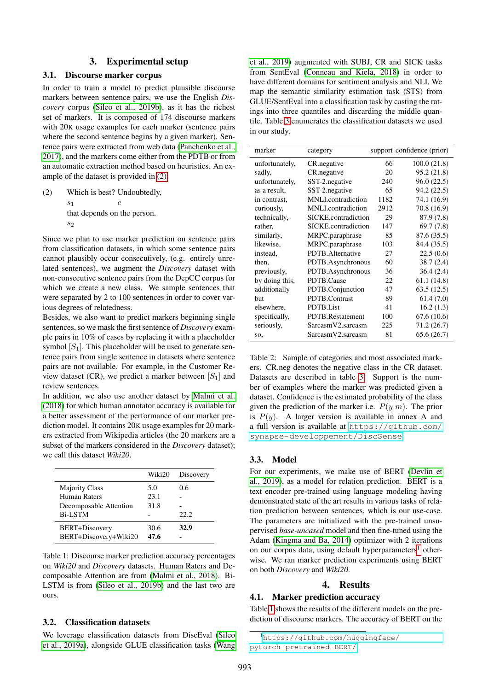#### 3. Experimental setup

### 3.1. Discourse marker corpus

In order to train a model to predict plausible discourse markers between sentence pairs, we use the English *Discovery* corpus [\(Sileo et al., 2019b\)](#page-5-7), as it has the richest set of markers. It is composed of 174 discourse markers with 20K usage examples for each marker (sentence pairs where the second sentence begins by a given marker). Sentence pairs were extracted from web data [\(Panchenko et al.,](#page-5-11) [2017\)](#page-5-11), and the markers come either from the PDTB or from an automatic extraction method based on heuristics. An example of the dataset is provided in [\(2\).](#page-2-1)

<span id="page-2-1"></span>(2) Which is best? Undoubtedly,  $\mathfrak{s}_1$ c that depends on the person.  $s<sub>2</sub>$ 

Since we plan to use marker prediction on sentence pairs from classification datasets, in which some sentence pairs cannot plausibly occur consecutively, (e.g. entirely unrelated sentences), we augment the *Discovery* dataset with non-consecutive sentence pairs from the DepCC corpus for which we create a new class. We sample sentences that were separated by 2 to 100 sentences in order to cover various degrees of relatedness.

Besides, we also want to predict markers beginning single sentences, so we mask the first sentence of *Discovery* example pairs in 10% of cases by replacing it with a placeholder symbol  $[S_1]$ . This placeholder will be used to generate sentence pairs from single sentence in datasets where sentence pairs are not available. For example, in the Customer Review dataset (CR), we predict a marker between  $[S_1]$  and review sentences.

In addition, we also use another dataset by [Malmi et al.](#page-5-12) [\(2018\)](#page-5-12) for which human annotator accuracy is available for a better assessment of the performance of our marker prediction model. It contains 20K usage examples for 20 markers extracted from Wikipedia articles (the 20 markers are a subset of the markers considered in the *Discovery* dataset); we call this dataset *Wiki20*.

|                        | Wiki20 | Discovery |
|------------------------|--------|-----------|
| <b>Majority Class</b>  | 5.0    | 0.6       |
| Human Raters           | 23.1   |           |
| Decomposable Attention | 31.8   |           |
| <b>Bi-LSTM</b>         |        | 22.2.     |
| BERT+Discovery         | 30.6   | 32.9      |
| BERT+Discovery+Wiki20  | 47.6   |           |

Table 1: Discourse marker prediction accuracy percentages on *Wiki20* and *Discovery* datasets. Human Raters and Decomposable Attention are from [\(Malmi et al., 2018\)](#page-5-12). Bi-LSTM is from [\(Sileo et al., 2019b\)](#page-5-7) and the last two are ours.

#### 3.2. Classification datasets

We leverage classification datasets from DiscEval [\(Sileo](#page-5-13) [et al., 2019a\)](#page-5-13), alongside GLUE classification tasks [\(Wang](#page-5-14) [et al., 2019\)](#page-5-14) augmented with SUBJ, CR and SICK tasks from SentEval [\(Conneau and Kiela, 2018\)](#page-4-10) in order to have different domains for sentiment analysis and NLI. We map the semantic similarity estimation task (STS) from GLUE/SentEval into a classification task by casting the ratings into three quantiles and discarding the middle quantile. Table [3](#page-3-0) enumerates the classification datasets we used in our study.

| marker         | category            |      | support confidence (prior) |
|----------------|---------------------|------|----------------------------|
| unfortunately, | CR. negative        | 66   | 100.0(21.8)                |
| sadly,         | CR.negative         | 20   | 95.2 (21.8)                |
| unfortunately, | SST-2.negative      | 240  | 96.0 (22.5)                |
| as a result,   | SST-2.negative      | 65   | 94.2 (22.5)                |
| in contrast,   | MNLI.contradiction  | 1182 | 74.1 (16.9)                |
| curiously,     | MNLI.contradiction  | 2912 | 70.8 (16.9)                |
| technically,   | SICKE.contradiction | 29   | 87.9 (7.8)                 |
| rather,        | SICKE.contradiction | 147  | 69.7(7.8)                  |
| similarly,     | MRPC.paraphrase     | 85   | 87.6 (35.5)                |
| likewise,      | MRPC.paraphrase     | 103  | 84.4 (35.5)                |
| instead.       | PDTB.Alternative    | 27   | 22.5(0.6)                  |
| then,          | PDTB.Asynchronous   | 60   | 38.7(2.4)                  |
| previously,    | PDTB.Asynchronous   | 36   | 36.4(2.4)                  |
| by doing this, | PDTB.Cause          | 22   | 61.1 (14.8)                |
| additionally   | PDTB.Conjunction    | 47   | 63.5(12.5)                 |
| hut            | PDTB.Contrast       | 89   | 61.4(7.0)                  |
| elsewhere,     | PDTB.List           | 41   | 16.2(1.3)                  |
| specifically,  | PDTB.Restatement    | 100  | 67.6 (10.6)                |
| seriously,     | SarcasmV2.sarcasm   | 225  | 71.2(26.7)                 |
| SO,            | SarcasmV2.sarcasm   | 81   | 65.6(26.7)                 |

<span id="page-2-0"></span>Table 2: Sample of categories and most associated markers. CR.neg denotes the negative class in the CR dataset. Datasets are described in table [3.](#page-3-0) Support is the number of examples where the marker was predicted given a dataset. Confidence is the estimated probability of the class given the prediction of the marker i.e.  $P(y|m)$ . The prior is  $P(y)$ . A larger version is available in annex A and a full version is available at [https://github.com/](https://github.com/synapse-developpement/DiscSense) [synapse-developpement/DiscSense](https://github.com/synapse-developpement/DiscSense).

#### 3.3. Model

<span id="page-2-3"></span>For our experiments, we make use of BERT [\(Devlin et](#page-4-11) [al., 2019\)](#page-4-11), as a model for relation prediction. BERT is a text encoder pre-trained using language modeling having demonstrated state of the art results in various tasks of relation prediction between sentences, which is our use-case. The parameters are initialized with the pre-trained unsupervised *base-uncased* model and then fine-tuned using the Adam [\(Kingma and Ba, 2014\)](#page-4-12) optimizer with 2 iterations on our corpus data, using default hyperparameters<sup>[1](#page-2-2)</sup> otherwise. We ran marker prediction experiments using BERT on both *Discovery* and *Wiki20*.

## 4. Results

## 4.1. Marker prediction accuracy

Table [1](#page-2-3) shows the results of the different models on the prediction of discourse markers. The accuracy of BERT on the

<span id="page-2-2"></span><sup>1</sup>[https://github.com/huggingface/](https://github.com/huggingface/pytorch-pretrained-BERT/) [pytorch-pretrained-BERT/](https://github.com/huggingface/pytorch-pretrained-BERT/)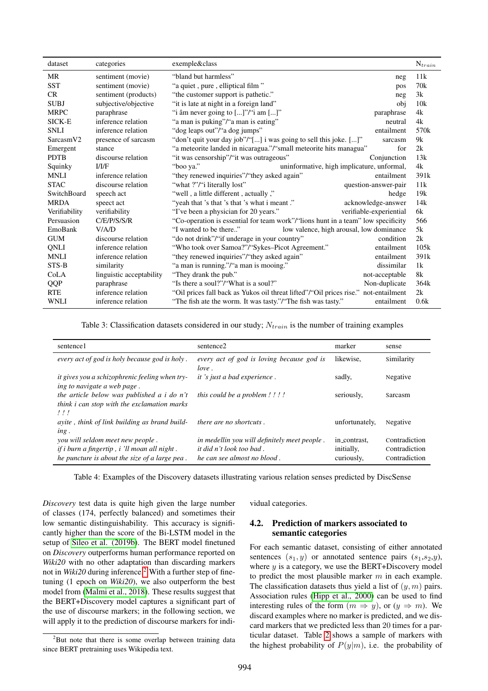| dataset               | categories               | exemple&class                                                                          | $N_{train}$      |
|-----------------------|--------------------------|----------------------------------------------------------------------------------------|------------------|
| MR                    | sentiment (movie)        | "bland but harmless"<br>neg                                                            | 11k              |
| <b>SST</b>            | sentiment (movie)        | "a quiet, pure, elliptical film"<br>pos                                                | 70k              |
| CR                    | sentiment (products)     | "the customer support is pathetic."<br>neg                                             | 3k               |
| <b>SUBJ</b>           | subjective/objective     | "it is late at night in a foreign land"<br>obj                                         | 10k              |
| <b>MRPC</b>           | paraphrase               | "i âm never going to $[]$ "/"i am $[]$ "<br>paraphrase                                 | 4k               |
| SICK-E                | inference relation       | "a man is puking"/"a man is eating"<br>neutral                                         | 4k               |
| <b>SNLI</b>           | inference relation       | "dog leaps out"/"a dog jumps"<br>entailment                                            | 570 <sub>k</sub> |
| Sarcasm <sub>V2</sub> | presence of sarcasm      | "don't quit your day job"/"[] i was going to sell this joke. []"<br>sarcasm            | 9k               |
| Emergent              | stance                   | "a meteorite landed in nicaragua."/"small meteorite hits managua"<br>for               | 2k               |
| <b>PDTB</b>           | discourse relation       | "it was censorship"/"it was outrageous"<br>Conjunction                                 | 13k              |
| Squinky               | I/I/F                    | uninformative, high implicature, unformal,<br>"boo ya."                                | 4k               |
| <b>MNLI</b>           | inference relation       | "they renewed inquiries"/"they asked again"<br>entailment                              | 391 <sub>k</sub> |
| <b>STAC</b>           | discourse relation       | "what ?"/"i literally lost"<br>question-answer-pair                                    | 11k              |
| SwitchBoard           | speech act               | "well, a little different, actually,"<br>hedge                                         | 19k              |
| <b>MRDA</b>           | speect act               | "yeah that 's that 's that 's what i meant."<br>acknowledge-answer                     | 14k              |
| Verifiability         | verifiability            | "I've been a physician for 20 years."<br>verifiable-experiential                       | 6k               |
| Persuasion            | C/E/P/S/S/R              | "Co-operation is essential for team work"/"lions hunt in a team" low specificity       | 566              |
| EmoBank               | V/A/D                    | "I wanted to be there"<br>low valence, high arousal, low dominance                     | 5k               |
| <b>GUM</b>            | discourse relation       | "do not drink"/"if underage in your country"<br>condition                              | 2k               |
| QNLI                  | inference relation       | "Who took over Samoa?"/"Sykes-Picot Agreement."<br>entailment                          | 105k             |
| <b>MNLI</b>           | inference relation       | "they renewed inquiries"/"they asked again"<br>entailment                              | 391 <sub>k</sub> |
| STS-B                 | similarity               | "a man is running."/"a man is mooing."<br>dissimilar                                   | 1k               |
| CoLA                  | linguistic acceptability | "They drank the pub."<br>not-acceptable                                                | 8k               |
| QQP                   | paraphrase               | "Is there a soul?"/"What is a soul?"<br>Non-duplicate                                  | 364k             |
| <b>RTE</b>            | inference relation       | "Oil prices fall back as Yukos oil threat lifted"/"Oil prices rise."<br>not-entailment | 2k               |
| <b>WNLI</b>           | inference relation       | "The fish ate the worm. It was tasty."/"The fish was tasty."<br>entailment             | 0.6k             |

Table 3: Classification datasets considered in our study;  $N_{train}$  is the number of training examples

<span id="page-3-0"></span>

| sentence1                                                                                                                                | sentence2                                                                                                      | marker                                   | sense                                           |
|------------------------------------------------------------------------------------------------------------------------------------------|----------------------------------------------------------------------------------------------------------------|------------------------------------------|-------------------------------------------------|
| every act of god is holy because god is holy.                                                                                            | every act of god is loving because god is<br>love.                                                             | likewise.                                | Similarity                                      |
| <i>it gives you a schizophrenic feeling when try-</i><br>ing to navigate a web page.                                                     | <i>it 's just a bad experience.</i>                                                                            | sadly,                                   | Negative                                        |
| the article below was published a <i>i</i> do n't<br>think i can stop with the exclamation marks<br>$!$ !!                               | this could be a problem !!!!                                                                                   | seriously,                               | Sarcasm                                         |
| ayite, think of link building as brand build-<br>ing.                                                                                    | there are no shortcuts.                                                                                        | unfortunately,                           | Negative                                        |
| you will seldom meet new people.<br><i>if i burn a fingertip, i 'll moan all night.</i><br>he puncture is about the size of a large pea. | in medellin you will definitely meet people.<br><i>it did n't look too bad.</i><br>he can see almost no blood. | in_contrast.<br>initially,<br>curiously, | Contradiction<br>Contradiction<br>Contradiction |

Table 4: Examples of the Discovery datasets illustrating various relation senses predicted by DiscSense

*Discovery* test data is quite high given the large number of classes (174, perfectly balanced) and sometimes their low semantic distinguishability. This accuracy is significantly higher than the score of the Bi-LSTM model in the setup of [Sileo et al. \(2019b\)](#page-5-7). The BERT model finetuned on *Discovery* outperforms human performance reported on *Wiki20* with no other adaptation than discarding markers not in *Wiki[2](#page-3-1)0* during inference.<sup>2</sup> With a further step of finetuning (1 epoch on *Wiki20*), we also outperform the best model from [\(Malmi et al., 2018\)](#page-5-12). These results suggest that the BERT+Discovery model captures a significant part of the use of discourse markers; in the following section, we will apply it to the prediction of discourse markers for indi-

<span id="page-3-2"></span>vidual categories.

## 4.2. Prediction of markers associated to semantic categories

For each semantic dataset, consisting of either annotated sentences  $(s_1, y)$  or annotated sentence pairs  $(s_1, s_2, y)$ , where  $y$  is a category, we use the BERT+Discovery model to predict the most plausible marker  $m$  in each example. The classification datasets thus yield a list of  $(y, m)$  pairs. Association rules [\(Hipp et al., 2000\)](#page-4-13) can be used to find interesting rules of the form  $(m \Rightarrow y)$ , or  $(y \Rightarrow m)$ . We discard examples where no marker is predicted, and we discard markers that we predicted less than 20 times for a particular dataset. Table [2](#page-2-0) shows a sample of markers with the highest probability of  $P(y|m)$ , i.e. the probability of

<span id="page-3-1"></span><sup>&</sup>lt;sup>2</sup>But note that there is some overlap between training data since BERT pretraining uses Wikipedia text.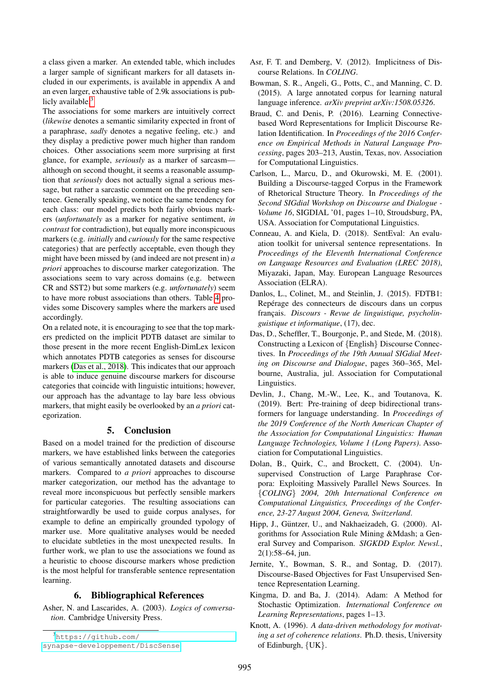a class given a marker. An extended table, which includes a larger sample of significant markers for all datasets included in our experiments, is available in appendix A and an even larger, exhaustive table of 2.9k associations is publicly available. $3$ 

The associations for some markers are intuitively correct (*likewise* denotes a semantic similarity expected in front of a paraphrase, *sadly* denotes a negative feeling, etc.) and they display a predictive power much higher than random choices. Other associations seem more surprising at first glance, for example, *seriously* as a marker of sarcasm although on second thought, it seems a reasonable assumption that *seriously* does not actually signal a serious message, but rather a sarcastic comment on the preceding sentence. Generally speaking, we notice the same tendency for each class: our model predicts both fairly obvious markers (*unfortunately* as a marker for negative sentiment, *in contrast* for contradiction), but equally more inconspicuous markers (e.g. *initially* and *curiously* for the same respective categories) that are perfectly acceptable, even though they might have been missed by (and indeed are not present in) *a priori* approaches to discourse marker categorization. The associations seem to vary across domains (e.g. between CR and SST2) but some markers (e.g. *unfortunately*) seem to have more robust associations than others. Table [4](#page-3-2) provides some Discovery samples where the markers are used accordingly.

On a related note, it is encouraging to see that the top markers predicted on the implicit PDTB dataset are similar to those present in the more recent English-DimLex lexicon which annotates PDTB categories as senses for discourse markers [\(Das et al., 2018\)](#page-4-1). This indicates that our approach is able to induce genuine discourse markers for discourse categories that coincide with linguistic intuitions; however, our approach has the advantage to lay bare less obvious markers, that might easily be overlooked by an *a priori* categorization.

## 5. Conclusion

Based on a model trained for the prediction of discourse markers, we have established links between the categories of various semantically annotated datasets and discourse markers. Compared to *a priori* approaches to discourse marker categorization, our method has the advantage to reveal more inconspicuous but perfectly sensible markers for particular categories. The resulting associations can straightforwardly be used to guide corpus analyses, for example to define an empirically grounded typology of marker use. More qualitative analyses would be needed to elucidate subtleties in the most unexpected results. In further work, we plan to use the associations we found as a heuristic to choose discourse markers whose prediction is the most helpful for transferable sentence representation learning.

## 6. Bibliographical References

<span id="page-4-4"></span>Asher, N. and Lascarides, A. (2003). *Logics of conversation*. Cambridge University Press.

- <span id="page-4-8"></span>Asr, F. T. and Demberg, V. (2012). Implicitness of Discourse Relations. In *COLING*.
- <span id="page-4-5"></span>Bowman, S. R., Angeli, G., Potts, C., and Manning, C. D. (2015). A large annotated corpus for learning natural language inference. *arXiv preprint arXiv:1508.05326*.
- <span id="page-4-9"></span>Braud, C. and Denis, P. (2016). Learning Connectivebased Word Representations for Implicit Discourse Relation Identification. In *Proceedings of the 2016 Conference on Empirical Methods in Natural Language Processing*, pages 203–213, Austin, Texas, nov. Association for Computational Linguistics.
- <span id="page-4-3"></span>Carlson, L., Marcu, D., and Okurowski, M. E. (2001). Building a Discourse-tagged Corpus in the Framework of Rhetorical Structure Theory. In *Proceedings of the Second SIGdial Workshop on Discourse and Dialogue - Volume 16*, SIGDIAL '01, pages 1–10, Stroudsburg, PA, USA. Association for Computational Linguistics.
- <span id="page-4-10"></span>Conneau, A. and Kiela, D. (2018). SentEval: An evaluation toolkit for universal sentence representations. In *Proceedings of the Eleventh International Conference on Language Resources and Evaluation (LREC 2018)*, Miyazaki, Japan, May. European Language Resources Association (ELRA).
- <span id="page-4-2"></span>Danlos, L., Colinet, M., and Steinlin, J. (2015). FDTB1: Repérage des connecteurs de discours dans un corpus français. *Discours - Revue de linguistique*, *psycholinguistique et informatique*, (17), dec.
- <span id="page-4-1"></span>Das, D., Scheffler, T., Bourgonje, P., and Stede, M. (2018). Constructing a Lexicon of {English} Discourse Connectives. In *Proceedings of the 19th Annual SIGdial Meeting on Discourse and Dialogue*, pages 360–365, Melbourne, Australia, jul. Association for Computational Linguistics.
- <span id="page-4-11"></span>Devlin, J., Chang, M.-W., Lee, K., and Toutanova, K. (2019). Bert: Pre-training of deep bidirectional transformers for language understanding. In *Proceedings of the 2019 Conference of the North American Chapter of the Association for Computational Linguistics: Human Language Technologies, Volume 1 (Long Papers)*. Association for Computational Linguistics.
- <span id="page-4-6"></span>Dolan, B., Quirk, C., and Brockett, C. (2004). Unsupervised Construction of Large Paraphrase Corpora: Exploiting Massively Parallel News Sources. In {*COLING*} *2004, 20th International Conference on Computational Linguistics, Proceedings of the Conference, 23-27 August 2004, Geneva, Switzerland*.
- <span id="page-4-13"></span>Hipp, J., Güntzer, U., and Nakhaeizadeh, G. (2000). Algorithms for Association Rule Mining &Mdash; a General Survey and Comparison. *SIGKDD Explor. Newsl.*, 2(1):58–64, jun.
- <span id="page-4-7"></span>Jernite, Y., Bowman, S. R., and Sontag, D. (2017). Discourse-Based Objectives for Fast Unsupervised Sentence Representation Learning.
- <span id="page-4-12"></span>Kingma, D. and Ba, J. (2014). Adam: A Method for Stochastic Optimization. *International Conference on Learning Representations*, pages 1–13.
- <span id="page-4-0"></span>Knott, A. (1996). *A data-driven methodology for motivating a set of coherence relations*. Ph.D. thesis, University of Edinburgh, {UK}.

<span id="page-4-14"></span><sup>3</sup>[https://github.com/](https://github.com/synapse-developpement/DiscSense)

[synapse-developpement/DiscSense](https://github.com/synapse-developpement/DiscSense)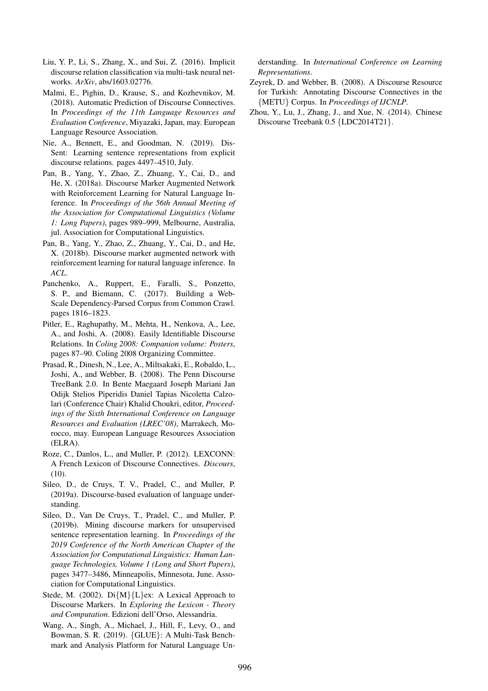- <span id="page-5-9"></span>Liu, Y. P., Li, S., Zhang, X., and Sui, Z. (2016). Implicit discourse relation classification via multi-task neural networks. *ArXiv*, abs/1603.02776.
- <span id="page-5-12"></span>Malmi, E., Pighin, D., Krause, S., and Kozhevnikov, M. (2018). Automatic Prediction of Discourse Connectives. In *Proceedings of the 11th Language Resources and Evaluation Conference*, Miyazaki, Japan, may. European Language Resource Association.
- <span id="page-5-5"></span>Nie, A., Bennett, E., and Goodman, N. (2019). Dis-Sent: Learning sentence representations from explicit discourse relations. pages 4497–4510, July.
- <span id="page-5-6"></span>Pan, B., Yang, Y., Zhao, Z., Zhuang, Y., Cai, D., and He, X. (2018a). Discourse Marker Augmented Network with Reinforcement Learning for Natural Language Inference. In *Proceedings of the 56th Annual Meeting of the Association for Computational Linguistics (Volume 1: Long Papers)*, pages 989–999, Melbourne, Australia, jul. Association for Computational Linguistics.
- <span id="page-5-10"></span>Pan, B., Yang, Y., Zhao, Z., Zhuang, Y., Cai, D., and He, X. (2018b). Discourse marker augmented network with reinforcement learning for natural language inference. In *ACL*.
- <span id="page-5-11"></span>Panchenko, A., Ruppert, E., Faralli, S., Ponzetto, S. P., and Biemann, C. (2017). Building a Web-Scale Dependency-Parsed Corpus from Common Crawl. pages 1816–1823.
- <span id="page-5-8"></span>Pitler, E., Raghupathy, M., Mehta, H., Nenkova, A., Lee, A., and Joshi, A. (2008). Easily Identifiable Discourse Relations. In *Coling 2008: Companion volume: Posters*, pages 87–90. Coling 2008 Organizing Committee.
- <span id="page-5-2"></span>Prasad, R., Dinesh, N., Lee, A., Miltsakaki, E., Robaldo, L., Joshi, A., and Webber, B. (2008). The Penn Discourse TreeBank 2.0. In Bente Maegaard Joseph Mariani Jan Odijk Stelios Piperidis Daniel Tapias Nicoletta Calzolari (Conference Chair) Khalid Choukri, editor, *Proceedings of the Sixth International Conference on Language Resources and Evaluation (LREC'08)*, Marrakech, Morocco, may. European Language Resources Association (ELRA).
- <span id="page-5-1"></span>Roze, C., Danlos, L., and Muller, P. (2012). LEXCONN: A French Lexicon of Discourse Connectives. *Discours*,  $(10)$ .
- <span id="page-5-13"></span>Sileo, D., de Cruys, T. V., Pradel, C., and Muller, P. (2019a). Discourse-based evaluation of language understanding.
- <span id="page-5-7"></span>Sileo, D., Van De Cruys, T., Pradel, C., and Muller, P. (2019b). Mining discourse markers for unsupervised sentence representation learning. In *Proceedings of the 2019 Conference of the North American Chapter of the Association for Computational Linguistics: Human Language Technologies, Volume 1 (Long and Short Papers)*, pages 3477–3486, Minneapolis, Minnesota, June. Association for Computational Linguistics.
- <span id="page-5-0"></span>Stede, M. (2002). Di{M}{L}ex: A Lexical Approach to Discourse Markers. In *Exploring the Lexicon - Theory and Computation*. Edizioni dell'Orso, Alessandria.
- <span id="page-5-14"></span>Wang, A., Singh, A., Michael, J., Hill, F., Levy, O., and Bowman, S. R. (2019). {GLUE}: A Multi-Task Benchmark and Analysis Platform for Natural Language Un-

derstanding. In *International Conference on Learning Representations*.

- <span id="page-5-3"></span>Zeyrek, D. and Webber, B. (2008). A Discourse Resource for Turkish: Annotating Discourse Connectives in the {METU} Corpus. In *Proceedings of IJCNLP*.
- <span id="page-5-4"></span>Zhou, Y., Lu, J., Zhang, J., and Xue, N. (2014). Chinese Discourse Treebank 0.5 {LDC2014T21}.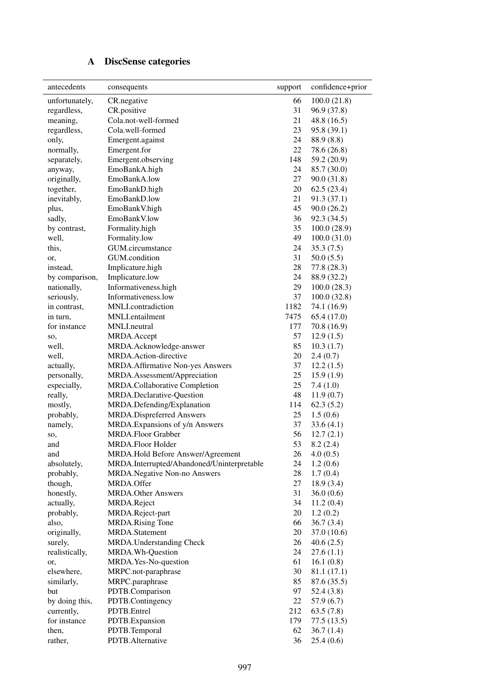# A DiscSense categories

| antecedents    | consequents                                | support | confidence+prior |
|----------------|--------------------------------------------|---------|------------------|
| unfortunately, | CR.negative                                | 66      | 100.0(21.8)      |
| regardless,    | CR.positive                                | 31      | 96.9 (37.8)      |
| meaning,       | Cola.not-well-formed                       | 21      | 48.8(16.5)       |
| regardless,    | Cola.well-formed                           | 23      | 95.8 (39.1)      |
| only,          | Emergent.against                           | 24      | 88.9 (8.8)       |
| normally,      | Emergent.for                               | 22      | 78.6 (26.8)      |
| separately,    | Emergent.observing                         | 148     | 59.2 (20.9)      |
| anyway,        | EmoBankA.high                              | 24      | 85.7 (30.0)      |
| originally,    | EmoBankA.low                               | 27      | 90.0(31.8)       |
| together,      | EmoBankD.high                              | 20      | 62.5(23.4)       |
| inevitably,    | EmoBankD.low                               | 21      | 91.3(37.1)       |
| plus,          | EmoBankV.high                              | 45      | 90.0(26.2)       |
| sadly,         | EmoBankV.low                               | 36      | 92.3 (34.5)      |
| by contrast,   | Formality.high                             | 35      | 100.0(28.9)      |
| well,          | Formality.low                              | 49      | 100.0(31.0)      |
| this,          | GUM.circumstance                           | 24      | 35.3(7.5)        |
| or,            | GUM.condition                              | 31      | 50.0(5.5)        |
| instead,       | Implicature.high                           | 28      | 77.8 (28.3)      |
| by comparison, | Implicature.low                            | 24      | 88.9 (32.2)      |
| nationally,    | Informativeness.high                       | 29      | 100.0(28.3)      |
| seriously,     | Informativeness.low                        | 37      | 100.0(32.8)      |
| in contrast,   | MNLI.contradiction                         | 1182    | 74.1 (16.9)      |
| in turn,       | MNLI.entailment                            | 7475    | 65.4(17.0)       |
| for instance   | MNLI.neutral                               | 177     | 70.8 (16.9)      |
| SO,            | MRDA.Accept                                | 57      | 12.9(1.5)        |
| well,          | MRDA.Acknowledge-answer                    | 85      | 10.3(1.7)        |
| well,          | MRDA.Action-directive                      | 20      | 2.4(0.7)         |
| actually,      | MRDA.Affirmative Non-yes Answers           | 37      | 12.2(1.5)        |
| personally,    | MRDA.Assessment/Appreciation               | 25      | 15.9(1.9)        |
| especially,    | MRDA.Collaborative Completion              | 25      | 7.4(1.0)         |
| really,        | MRDA.Declarative-Question                  | 48      | 11.9(0.7)        |
| mostly,        | MRDA.Defending/Explanation                 | 114     | 62.3(5.2)        |
| probably,      | MRDA.Dispreferred Answers                  | 25      | 1.5(0.6)         |
| namely,        | MRDA. Expansions of y/n Answers            | 37      | 33.6(4.1)        |
| SO,            | MRDA.Floor Grabber                         | 56      | 12.7(2.1)        |
| and            | MRDA.Floor Holder                          | 53      | 8.2(2.4)         |
| and            | MRDA.Hold Before Answer/Agreement          | 26      | 4.0(0.5)         |
| absolutely,    | MRDA.Interrupted/Abandoned/Uninterpretable | 24      | 1.2(0.6)         |
| probably,      | MRDA.Negative Non-no Answers               | 28      | 1.7(0.4)         |
| though,        | MRDA.Offer                                 | 27      | 18.9(3.4)        |
| honestly,      | <b>MRDA.Other Answers</b>                  | 31      | 36.0(0.6)        |
| actually,      | MRDA.Reject                                | 34      | 11.2(0.4)        |
| probably,      | MRDA.Reject-part                           | 20      | 1.2(0.2)         |
| also,          | <b>MRDA.Rising Tone</b>                    | 66      | 36.7(3.4)        |
| originally,    | MRDA.Statement                             | 20      | 37.0 (10.6)      |
| surely,        | MRDA.Understanding Check                   | 26      | 40.6(2.5)        |
| realistically, | MRDA.Wh-Question                           | 24      | 27.6(1.1)        |
| or,            | MRDA.Yes-No-question                       | 61      | 16.1(0.8)        |
| elsewhere,     | MRPC.not-paraphrase                        | 30      | 81.1 (17.1)      |
| similarly,     | MRPC.paraphrase                            | 85      | 87.6 (35.5)      |
| but            | PDTB.Comparison                            | 97      | 52.4(3.8)        |
| by doing this, | PDTB.Contingency                           | 22      | 57.9(6.7)        |
| currently,     | PDTB.Entrel                                | 212     | 63.5(7.8)        |
| for instance   | PDTB.Expansion                             | 179     | 77.5(13.5)       |
| then,          | PDTB.Temporal                              | 62      | 36.7(1.4)        |
| rather,        | PDTB.Alternative                           | 36      | 25.4(0.6)        |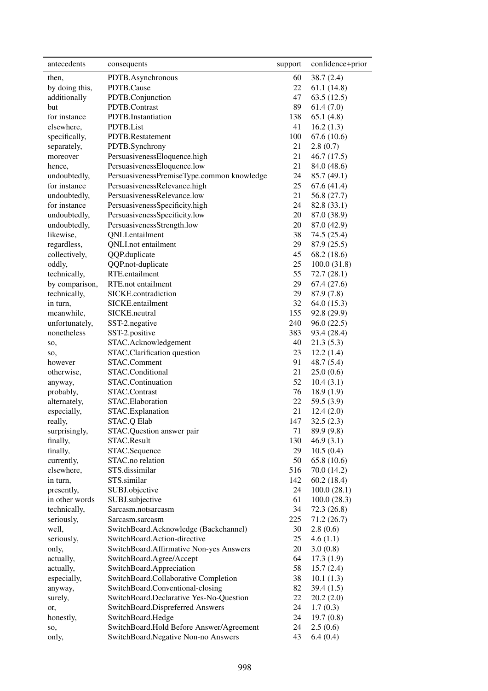| antecedents    | consequents                                | support | confidence+prior |
|----------------|--------------------------------------------|---------|------------------|
| then,          | PDTB.Asynchronous                          | 60      | 38.7 (2.4)       |
| by doing this, | PDTB.Cause                                 | 22      | 61.1(14.8)       |
| additionally   | PDTB.Conjunction                           | 47      | 63.5(12.5)       |
| but            | PDTB.Contrast                              | 89      | 61.4(7.0)        |
| for instance   | PDTB.Instantiation                         | 138     | 65.1(4.8)        |
| elsewhere,     | PDTB.List                                  | 41      | 16.2(1.3)        |
| specifically,  | PDTB.Restatement                           | 100     | 67.6(10.6)       |
| separately,    | PDTB.Synchrony                             | 21      | 2.8(0.7)         |
| moreover       | PersuasivenessEloquence.high               | 21      | 46.7 (17.5)      |
| hence,         | PersuasivenessEloquence.low                | 21      | 84.0 (48.6)      |
| undoubtedly,   | PersuasivenessPremiseType.common knowledge | 24      | 85.7 (49.1)      |
| for instance   | PersuasivenessRelevance.high               | 25      | 67.6 (41.4)      |
| undoubtedly,   | PersuasivenessRelevance.low                | 21      | 56.8 (27.7)      |
| for instance   | PersuasivenessSpecificity.high             | 24      | 82.8 (33.1)      |
| undoubtedly,   | PersuasivenessSpecificity.low              | 20      | 87.0 (38.9)      |
| undoubtedly,   | PersuasivenessStrength.low                 | 20      | 87.0 (42.9)      |
| likewise,      | QNLI.entailment                            | 38      | 74.5 (25.4)      |
| regardless,    | <b>QNLI.not</b> entailment                 | 29      | 87.9 (25.5)      |
| collectively,  | QQP.duplicate                              | 45      | 68.2 (18.6)      |
| oddly,         | QQP.not-duplicate                          | 25      | 100.0(31.8)      |
| technically,   | RTE.entailment                             | 55      | 72.7 (28.1)      |
| by comparison, | RTE.not entailment                         | 29      | 67.4(27.6)       |
| technically,   | SICKE.contradiction                        | 29      | 87.9 (7.8)       |
| in turn,       | SICKE.entailment                           | 32      | 64.0(15.3)       |
| meanwhile,     | SICKE.neutral                              | 155     | 92.8 (29.9)      |
| unfortunately, | SST-2.negative                             | 240     | 96.0(22.5)       |
| nonetheless    | SST-2.positive                             | 383     | 93.4 (28.4)      |
| SO,            | STAC.Acknowledgement                       | 40      | 21.3(5.3)        |
| SO,            | STAC.Clarification question                | 23      | 12.2(1.4)        |
| however        | STAC.Comment                               | 91      | 48.7 (5.4)       |
| otherwise,     | STAC.Conditional                           | 21      | 25.0(0.6)        |
| anyway,        | STAC.Continuation                          | 52      | 10.4(3.1)        |
| probably,      | STAC.Contrast                              | 76      | 18.9(1.9)        |
| alternately,   | STAC.Elaboration                           | 22      | 59.5 (3.9)       |
| especially,    | STAC.Explanation                           | 21      | 12.4(2.0)        |
| really,        | <b>STAC.Q Elab</b>                         | 147     | 32.5(2.3)        |
| surprisingly,  | STAC.Question answer pair                  | 71      | 89.9 (9.8)       |
| finally,       | STAC.Result                                | 130     | 46.9(3.1)        |
| finally,       | STAC.Sequence                              | 29      | 10.5(0.4)        |
| currently,     | STAC.no relation                           | 50      | 65.8(10.6)       |
| elsewhere,     | STS.dissimilar                             | 516     | 70.0 (14.2)      |
| in turn,       | STS.similar                                | 142     | 60.2(18.4)       |
| presently,     | SUBJ.objective                             | 24      | 100.0(28.1)      |
| in other words | SUBJ.subjective                            | 61      | 100.0(28.3)      |
| technically,   | Sarcasm.notsarcasm                         | 34      | 72.3(26.8)       |
| seriously,     | Sarcasm.sarcasm                            | 225     | 71.2(26.7)       |
| well,          | SwitchBoard.Acknowledge (Backchannel)      | 30      | 2.8(0.6)         |
| seriously,     | SwitchBoard.Action-directive               | 25      | 4.6(1.1)         |
| only,          | SwitchBoard.Affirmative Non-yes Answers    | 20      | 3.0(0.8)         |
| actually,      | SwitchBoard.Agree/Accept                   | 64      | 17.3(1.9)        |
| actually,      | SwitchBoard.Appreciation                   | 58      | 15.7(2.4)        |
| especially,    | SwitchBoard.Collaborative Completion       | 38      | 10.1(1.3)        |
| anyway,        | SwitchBoard.Conventional-closing           | 82      | 39.4(1.5)        |
| surely,        | SwitchBoard.Declarative Yes-No-Question    | 22      | 20.2(2.0)        |
| or,            | SwitchBoard.Dispreferred Answers           | 24      | 1.7(0.3)         |
| honestly,      | SwitchBoard.Hedge                          | 24      | 19.7(0.8)        |
| so,            | SwitchBoard.Hold Before Answer/Agreement   | 24      | 2.5(0.6)         |
| only,          | SwitchBoard.Negative Non-no Answers        | 43      | 6.4(0.4)         |